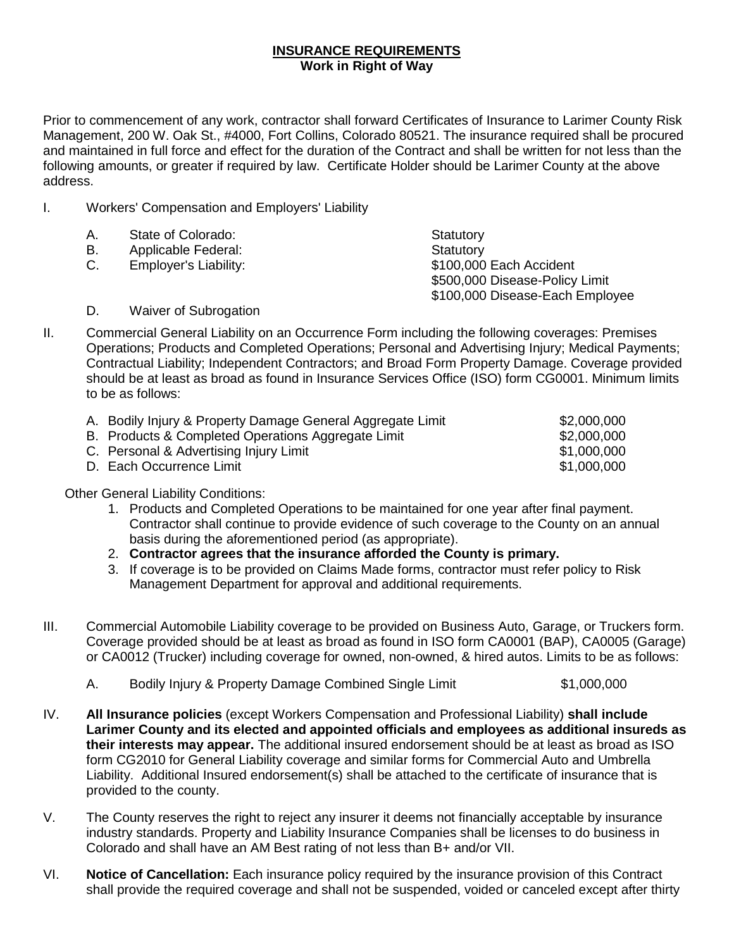## **INSURANCE REQUIREMENTS Work in Right of Way**

Prior to commencement of any work, contractor shall forward Certificates of Insurance to Larimer County Risk Management, 200 W. Oak St., #4000, Fort Collins, Colorado 80521. The insurance required shall be procured and maintained in full force and effect for the duration of the Contract and shall be written for not less than the following amounts, or greater if required by law. Certificate Holder should be Larimer County at the above address.

I. Workers' Compensation and Employers' Liability

| Α. | State of Colorado:    | Statutory                       |
|----|-----------------------|---------------------------------|
| В. | Applicable Federal:   | Statutory                       |
| C. | Employer's Liability: | \$100,000 Each Accident         |
|    |                       | \$500,000 Disease-Policy Limit  |
|    |                       | \$100,000 Disease-Each Employee |
| D. | Waiver of Subrogation |                                 |

II. Commercial General Liability on an Occurrence Form including the following coverages: Premises Operations; Products and Completed Operations; Personal and Advertising Injury; Medical Payments; Contractual Liability; Independent Contractors; and Broad Form Property Damage. Coverage provided should be at least as broad as found in Insurance Services Office (ISO) form CG0001. Minimum limits to be as follows:

| A. Bodily Injury & Property Damage General Aggregate Limit | \$2,000,000 |
|------------------------------------------------------------|-------------|
| B. Products & Completed Operations Aggregate Limit         | \$2,000,000 |
| C. Personal & Advertising Injury Limit                     | \$1,000,000 |
| D. Each Occurrence Limit                                   | \$1,000,000 |

Other General Liability Conditions:

- 1. Products and Completed Operations to be maintained for one year after final payment. Contractor shall continue to provide evidence of such coverage to the County on an annual basis during the aforementioned period (as appropriate).
- 2. **Contractor agrees that the insurance afforded the County is primary.**
- 3. If coverage is to be provided on Claims Made forms, contractor must refer policy to Risk Management Department for approval and additional requirements.
- III. Commercial Automobile Liability coverage to be provided on Business Auto, Garage, or Truckers form. Coverage provided should be at least as broad as found in ISO form CA0001 (BAP), CA0005 (Garage) or CA0012 (Trucker) including coverage for owned, non-owned, & hired autos. Limits to be as follows:
	- A. Bodily Injury & Property Damage Combined Single Limit  $$1,000,000$
- IV. **All Insurance policies** (except Workers Compensation and Professional Liability) **shall include Larimer County and its elected and appointed officials and employees as additional insureds as their interests may appear.** The additional insured endorsement should be at least as broad as ISO form CG2010 for General Liability coverage and similar forms for Commercial Auto and Umbrella Liability. Additional Insured endorsement(s) shall be attached to the certificate of insurance that is provided to the county.
- V. The County reserves the right to reject any insurer it deems not financially acceptable by insurance industry standards. Property and Liability Insurance Companies shall be licenses to do business in Colorado and shall have an AM Best rating of not less than B+ and/or VII.
- VI. **Notice of Cancellation:** Each insurance policy required by the insurance provision of this Contract shall provide the required coverage and shall not be suspended, voided or canceled except after thirty